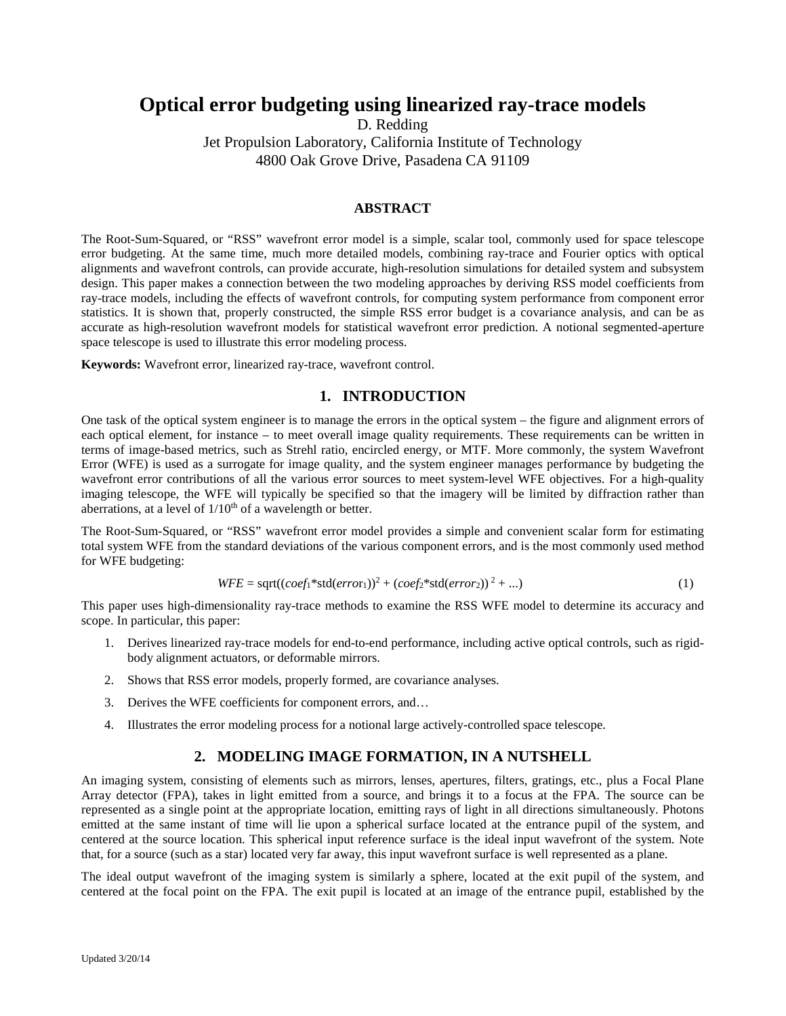# **Optical error budgeting using linearized ray-trace models**

D. Redding

Jet Propulsion Laboratory, California Institute of Technology 4800 Oak Grove Drive, Pasadena CA 91109

### **ABSTRACT**

The Root-Sum-Squared, or "RSS" wavefront error model is a simple, scalar tool, commonly used for space telescope error budgeting. At the same time, much more detailed models, combining ray-trace and Fourier optics with optical alignments and wavefront controls, can provide accurate, high-resolution simulations for detailed system and subsystem design. This paper makes a connection between the two modeling approaches by deriving RSS model coefficients from ray-trace models, including the effects of wavefront controls, for computing system performance from component error statistics. It is shown that, properly constructed, the simple RSS error budget is a covariance analysis, and can be as accurate as high-resolution wavefront models for statistical wavefront error prediction. A notional segmented-aperture space telescope is used to illustrate this error modeling process.

**Keywords:** Wavefront error, linearized ray-trace, wavefront control.

## **1. INTRODUCTION**

One task of the optical system engineer is to manage the errors in the optical system – the figure and alignment errors of each optical element, for instance – to meet overall image quality requirements. These requirements can be written in terms of image-based metrics, such as Strehl ratio, encircled energy, or MTF. More commonly, the system Wavefront Error (WFE) is used as a surrogate for image quality, and the system engineer manages performance by budgeting the wavefront error contributions of all the various error sources to meet system-level WFE objectives. For a high-quality imaging telescope, the WFE will typically be specified so that the imagery will be limited by diffraction rather than aberrations, at a level of  $1/10<sup>th</sup>$  of a wavelength or better.

The Root-Sum-Squared, or "RSS" wavefront error model provides a simple and convenient scalar form for estimating total system WFE from the standard deviations of the various component errors, and is the most commonly used method for WFE budgeting:

$$
WFE = sqrt((coeff*std(error1))2 + (coeff*std(error2))2 + ...)
$$
\n(1)

This paper uses high-dimensionality ray-trace methods to examine the RSS WFE model to determine its accuracy and scope. In particular, this paper:

- 1. Derives linearized ray-trace models for end-to-end performance, including active optical controls, such as rigidbody alignment actuators, or deformable mirrors.
- 2. Shows that RSS error models, properly formed, are covariance analyses.
- 3. Derives the WFE coefficients for component errors, and…
- 4. Illustrates the error modeling process for a notional large actively-controlled space telescope.

## **2. MODELING IMAGE FORMATION, IN A NUTSHELL**

An imaging system, consisting of elements such as mirrors, lenses, apertures, filters, gratings, etc., plus a Focal Plane Array detector (FPA), takes in light emitted from a source, and brings it to a focus at the FPA. The source can be represented as a single point at the appropriate location, emitting rays of light in all directions simultaneously. Photons emitted at the same instant of time will lie upon a spherical surface located at the entrance pupil of the system, and centered at the source location. This spherical input reference surface is the ideal input wavefront of the system. Note that, for a source (such as a star) located very far away, this input wavefront surface is well represented as a plane.

The ideal output wavefront of the imaging system is similarly a sphere, located at the exit pupil of the system, and centered at the focal point on the FPA. The exit pupil is located at an image of the entrance pupil, established by the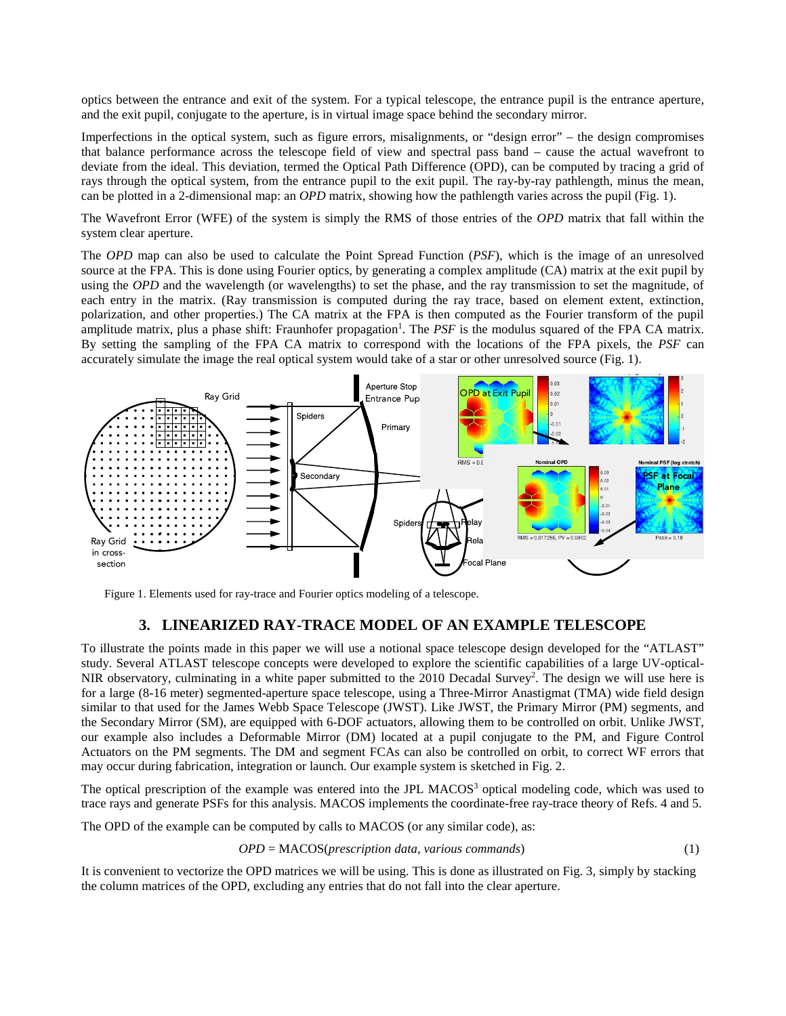optics between the entrance and exit of the system. For a typical telescope, the entrance pupil is the entrance aperture, and the exit pupil, conjugate to the aperture, is in virtual image space behind the secondary mirror.

Imperfections in the optical system, such as figure errors, misalignments, or "design error" – the design compromises that balance performance across the telescope field of view and spectral pass band – cause the actual wavefront to deviate from the ideal. This deviation, termed the Optical Path Difference (OPD), can be computed by tracing a grid of rays through the optical system, from the entrance pupil to the exit pupil. The ray-by-ray pathlength, minus the mean, can be plotted in a 2-dimensional map: an *OPD* matrix, showing how the pathlength varies across the pupil (Fig. 1).

The Wavefront Error (WFE) of the system is simply the RMS of those entries of the *OPD* matrix that fall within the system clear aperture.

The *OPD* map can also be used to calculate the Point Spread Function (*PSF*), which is the image of an unresolved source at the FPA. This is done using Fourier optics, by generating a complex amplitude (CA) matrix at the exit pupil by using the *OPD* and the wavelength (or wavelengths) to set the phase, and the ray transmission to set the magnitude, of each entry in the matrix. (Ray transmission is computed during the ray trace, based on element extent, extinction, polarization, and other properties.) The CA matrix at the FPA is then computed as the Fourier transform of the pupil amplitude matrix, plus a phase shift: Fraunhofer propagation<sup>1</sup>. The *PSF* is the modulus squared of the FPA CA matrix. By setting the sampling of the FPA CA matrix to correspond with the locations of the FPA pixels, the *PSF* can accurately simulate the image the real optical system would take of a star or other unresolved source (Fig. 1).



Figure 1. Elements used for ray-trace and Fourier optics modeling of a telescope.

# **3. LINEARIZED RAY-TRACE MODEL OF AN EXAMPLE TELESCOPE**

To illustrate the points made in this paper we will use a notional space telescope design developed for the "ATLAST" study. Several ATLAST telescope concepts were developed to explore the scientific capabilities of a large UV-optical-NIR observatory, culminating in a white paper submitted to the 2010 Decadal Survey<sup>2</sup>. The design we will use here is for a large (8-16 meter) segmented-aperture space telescope, using a Three-Mirror Anastigmat (TMA) wide field design similar to that used for the James Webb Space Telescope (JWST). Like JWST, the Primary Mirror (PM) segments, and the Secondary Mirror (SM), are equipped with 6-DOF actuators, allowing them to be controlled on orbit. Unlike JWST, our example also includes a Deformable Mirror (DM) located at a pupil conjugate to the PM, and Figure Control Actuators on the PM segments. The DM and segment FCAs can also be controlled on orbit, to correct WF errors that may occur during fabrication, integration or launch. Our example system is sketched in Fig. 2.

The optical prescription of the example was entered into the JPL MACOS<sup>3</sup> optical modeling code, which was used to trace rays and generate PSFs for this analysis. MACOS implements the coordinate-free ray-trace theory of Refs. 4 and 5.

The OPD of the example can be computed by calls to MACOS (or any similar code), as:

$$
OPD = MACOS (prescription data, various commands)
$$
\n
$$
(1)
$$

It is convenient to vectorize the OPD matrices we will be using. This is done as illustrated on Fig. 3, simply by stacking the column matrices of the OPD, excluding any entries that do not fall into the clear aperture.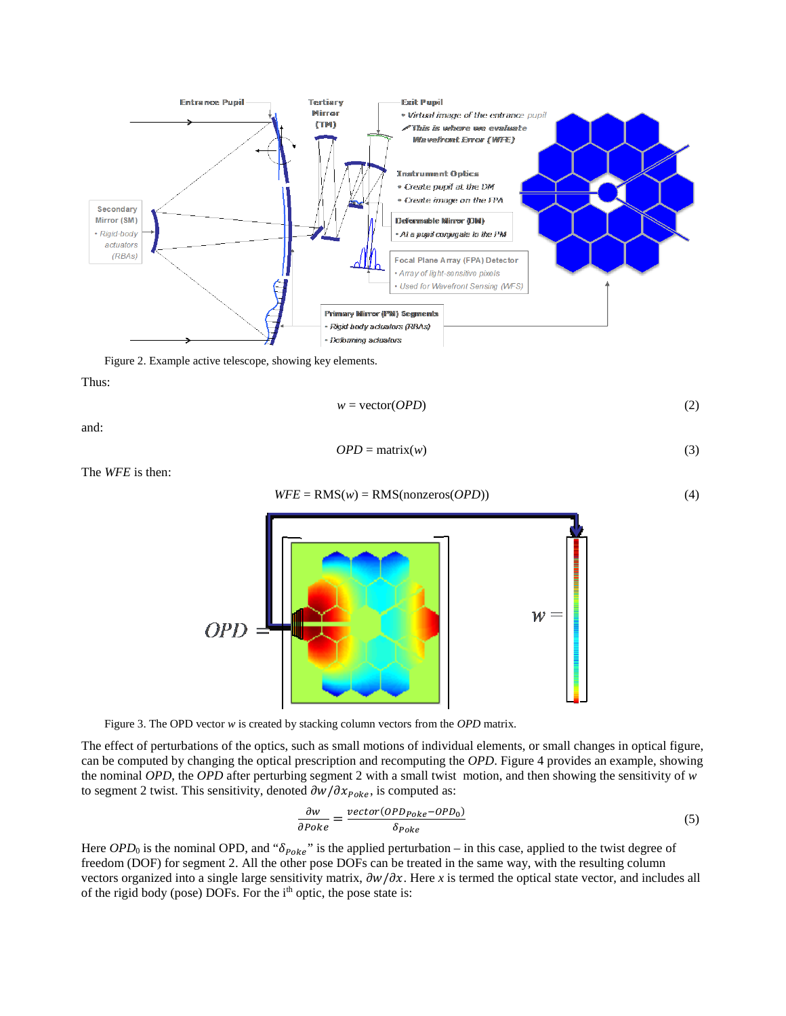

Figure 2. Example active telescope, showing key elements.

Thus:

$$
w = \text{vector}(OPD) \tag{2}
$$

and:

$$
OPD = \text{matrix}(w) \tag{3}
$$

The *WFE* is then:





The effect of perturbations of the optics, such as small motions of individual elements, or small changes in optical figure, can be computed by changing the optical prescription and recomputing the *OPD*. Figure 4 provides an example, showing the nominal *OPD*, the *OPD* after perturbing segment 2 with a small twist motion, and then showing the sensitivity of *w* to segment 2 twist. This sensitivity, denoted  $\partial w / \partial x_{Poke}$ , is computed as:

$$
\frac{\partial w}{\partial Poke} = \frac{vector(OPD_{Poke} - OPD_0)}{\delta_{Poke}}\tag{5}
$$

Here  $OPD_0$  is the nominal OPD, and " $\delta_{Poke}$ " is the applied perturbation – in this case, applied to the twist degree of freedom (DOF) for segment 2. All the other pose DOFs can be treated in the same way, with the resulting column vectors organized into a single large sensitivity matrix,  $\frac{\partial w}{\partial x}$ . Here *x* is termed the optical state vector, and includes all of the rigid body (pose) DOFs. For the i<sup>th</sup> optic, the pose state is: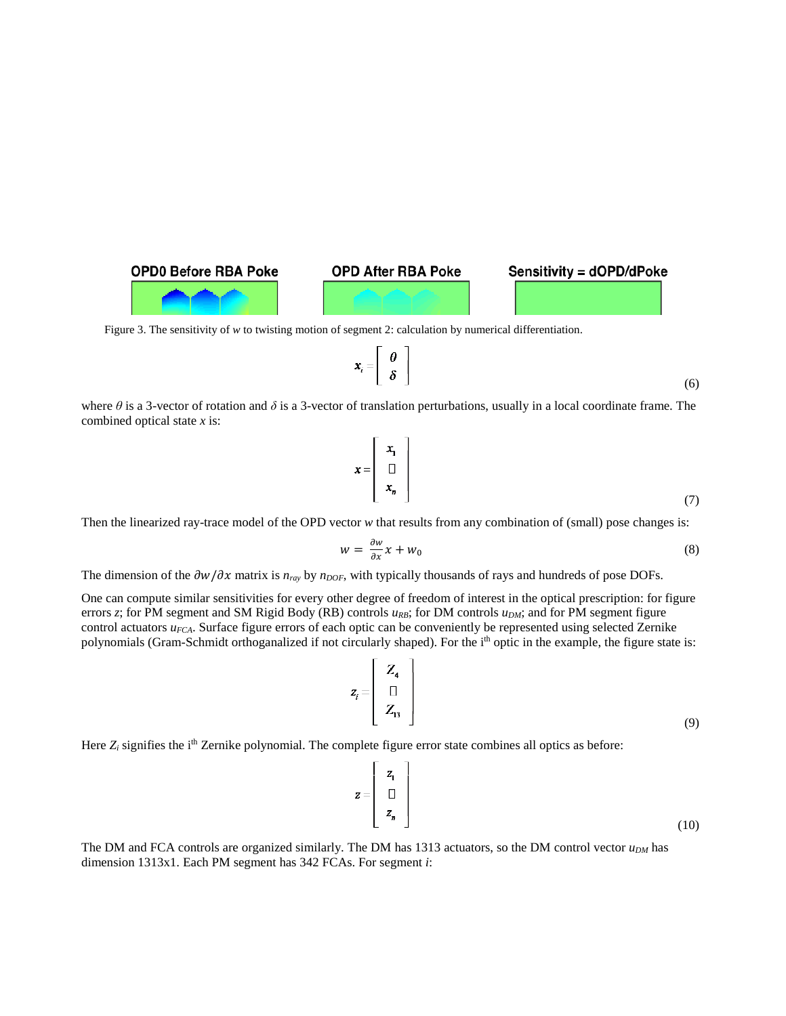

Figure 3. The sensitivity of *w* to twisting motion of segment 2: calculation by numerical differentiation.

$$
\boldsymbol{x}_i = \left[ \begin{array}{c} \boldsymbol{\theta} \\ \boldsymbol{\delta} \end{array} \right]
$$

where  $\theta$  is a 3-vector of rotation and  $\delta$  is a 3-vector of translation perturbations, usually in a local coordinate frame. The combined optical state *x* is:

$$
x = \begin{bmatrix} x_1 \\ \Box \\ x_n \end{bmatrix} \tag{7}
$$

Then the linearized ray-trace model of the OPD vector *w* that results from any combination of (small) pose changes is:

$$
w = \frac{\partial w}{\partial x} x + w_0 \tag{8}
$$

The dimension of the  $\partial w / \partial x$  matrix is  $n_{ray}$  by  $n_{DOF}$ , with typically thousands of rays and hundreds of pose DOFs.

One can compute similar sensitivities for every other degree of freedom of interest in the optical prescription: for figure errors *z*; for PM segment and SM Rigid Body (RB) controls  $u_{RB}$ ; for DM controls  $u_{DM}$ ; and for PM segment figure control actuators *u<sub>FCA</sub>*. Surface figure errors of each optic can be conveniently be represented using selected Zernike polynomials (Gram-Schmidt orthoganalized if not circularly shaped). For the i<sup>th</sup> optic in the example, the figure state is:

 $\overline{a}$ 

$$
z_{i} = \begin{bmatrix} Z_{4} \\ \Box \\ Z_{13} \end{bmatrix}
$$
 (9)

Here  $Z_i$  signifies the i<sup>th</sup> Zernike polynomial. The complete figure error state combines all optics as before:

$$
\mathbf{z} = \begin{bmatrix} z_1 \\ \Box \\ z_n \end{bmatrix} \tag{10}
$$

The DM and FCA controls are organized similarly. The DM has  $1313$  actuators, so the DM control vector  $u_{DM}$  has dimension 1313x1. Each PM segment has 342 FCAs. For segment *i*:

(6)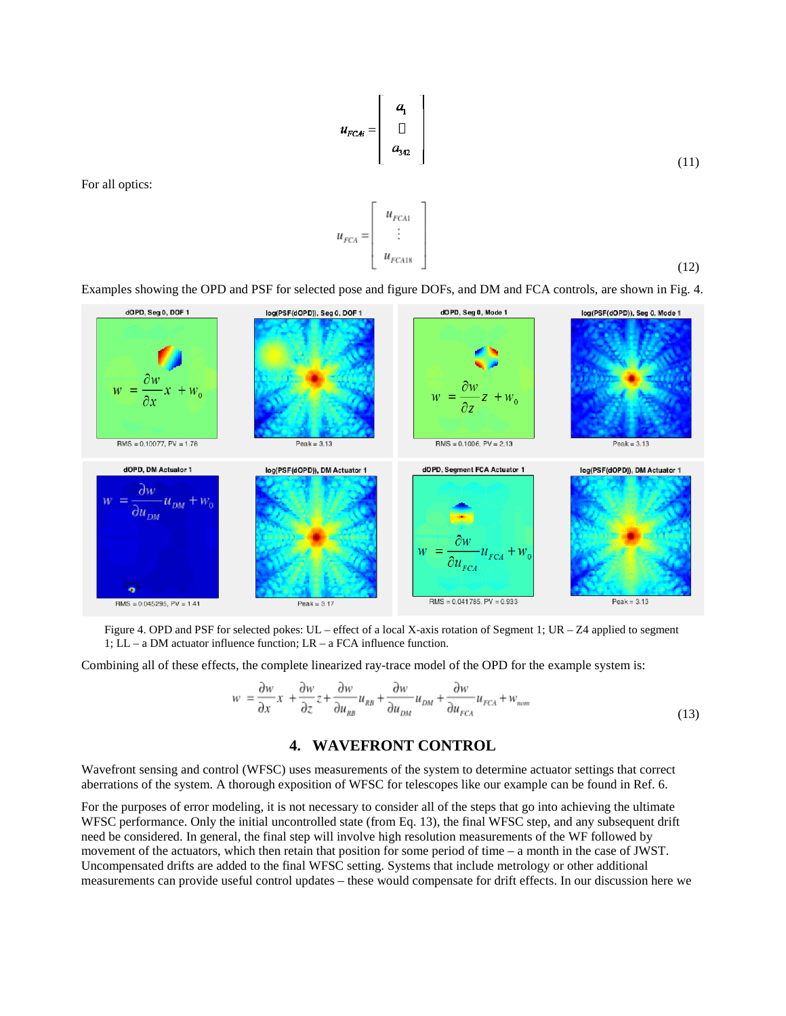$$
u_{FCAi} = \begin{bmatrix} a_1 \\ \Box \\ a_{342} \end{bmatrix}
$$
 (11)

For all optics:

$$
[12)
$$

 $u_{FCA} = \begin{bmatrix} u_{FCA1} \\ \vdots \\ u_{FCA18} \end{bmatrix}$ 



Figure 4. OPD and PSF for selected pokes: UL – effect of a local X-axis rotation of Segment 1; UR – Z4 applied to segment 1; LL – a DM actuator influence function; LR – a FCA influence function.

Combining all of these effects, the complete linearized ray-trace model of the OPD for the example system is:

$$
w = \frac{\partial w}{\partial x}x + \frac{\partial w}{\partial z}z + \frac{\partial w}{\partial u_{RB}}u_{RB} + \frac{\partial w}{\partial u_{DM}}u_{DM} + \frac{\partial w}{\partial u_{FCA}}u_{FCA} + w_{nom}
$$
\n(13)

# **4. WAVEFRONT CONTROL**

Wavefront sensing and control (WFSC) uses measurements of the system to determine actuator settings that correct aberrations of the system. A thorough exposition of WFSC for telescopes like our example can be found in Ref. 6.

For the purposes of error modeling, it is not necessary to consider all of the steps that go into achieving the ultimate WFSC performance. Only the initial uncontrolled state (from Eq. 13), the final WFSC step, and any subsequent drift need be considered. In general, the final step will involve high resolution measurements of the WF followed by movement of the actuators, which then retain that position for some period of time – a month in the case of JWST. Uncompensated drifts are added to the final WFSC setting. Systems that include metrology or other additional measurements can provide useful control updates – these would compensate for drift effects. In our discussion here we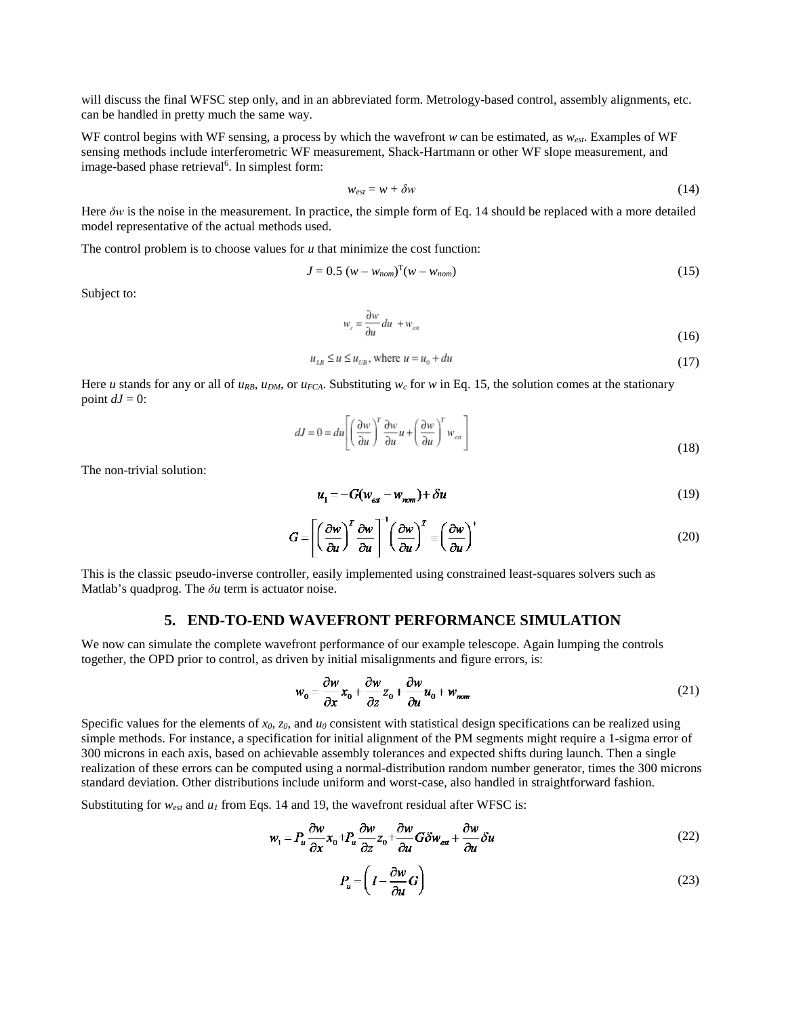will discuss the final WFSC step only, and in an abbreviated form. Metrology-based control, assembly alignments, etc. can be handled in pretty much the same way.

WF control begins with WF sensing, a process by which the wavefront *w* can be estimated, as *west*. Examples of WF sensing methods include interferometric WF measurement, Shack-Hartmann or other WF slope measurement, and image-based phase retrieval<sup>6</sup>. In simplest form:

$$
w_{est} = w + \delta w \tag{14}
$$

Here *δw* is the noise in the measurement. In practice, the simple form of Eq. 14 should be replaced with a more detailed model representative of the actual methods used.

The control problem is to choose values for  $u$  that minimize the cost function:

$$
J = 0.5 (w - w_{nom})^{\mathrm{T}}(w - w_{nom})
$$
 (15)

Subject to:

$$
w_c = \frac{\partial w}{\partial u} du + w_{est} \tag{16}
$$

$$
u_{LB} \le u \le u_{UB}, \text{ where } u = u_0 + du \tag{17}
$$

Here *u* stands for any or all of  $u_{RB}$ ,  $u_{DM}$ , or  $u_{FCA}$ . Substituting  $w_c$  for *w* in Eq. 15, the solution comes at the stationary point  $dJ = 0$ :

$$
dJ = 0 = du \left[ \left( \frac{\partial w}{\partial u} \right)^T \frac{\partial w}{\partial u} u + \left( \frac{\partial w}{\partial u} \right)^T w_{\text{est}} \right]
$$
(18)

The non-trivial solution:

$$
u_1 = -G(w_{\text{ext}} - w_{\text{norm}}) + \delta u \tag{19}
$$

$$
G = \left[ \left( \frac{\partial w}{\partial u} \right)^T \frac{\partial w}{\partial u} \right]^{-1} \left( \frac{\partial w}{\partial u} \right)^T = \left( \frac{\partial w}{\partial u} \right)^+
$$
(20)

This is the classic pseudo-inverse controller, easily implemented using constrained least-squares solvers such as Matlab's quadprog. The *δu* term is actuator noise.

#### **5. END-TO-END WAVEFRONT PERFORMANCE SIMULATION**

We now can simulate the complete wavefront performance of our example telescope. Again lumping the controls together, the OPD prior to control, as driven by initial misalignments and figure errors, is:

$$
w_0 = \frac{\partial w}{\partial x} x_0 + \frac{\partial w}{\partial z} z_0 + \frac{\partial w}{\partial u} u_0 + w_{\text{norm}} \tag{21}
$$

Specific values for the elements of  $x_0$ ,  $z_0$ , and  $u_0$  consistent with statistical design specifications can be realized using simple methods. For instance, a specification for initial alignment of the PM segments might require a 1-sigma error of 300 microns in each axis, based on achievable assembly tolerances and expected shifts during launch. Then a single realization of these errors can be computed using a normal-distribution random number generator, times the 300 microns standard deviation. Other distributions include uniform and worst-case, also handled in straightforward fashion.

Substituting for  $w_{est}$  and  $u_1$  from Eqs. 14 and 19, the wavefront residual after WFSC is:

$$
w_1 = P_u \frac{\partial w}{\partial x} x_0 + P_u \frac{\partial w}{\partial z} z_0 + \frac{\partial w}{\partial u} G \delta w_{\text{est}} + \frac{\partial w}{\partial u} \delta u \tag{22}
$$

$$
P_u = \left(I - \frac{\partial w}{\partial u}G\right) \tag{23}
$$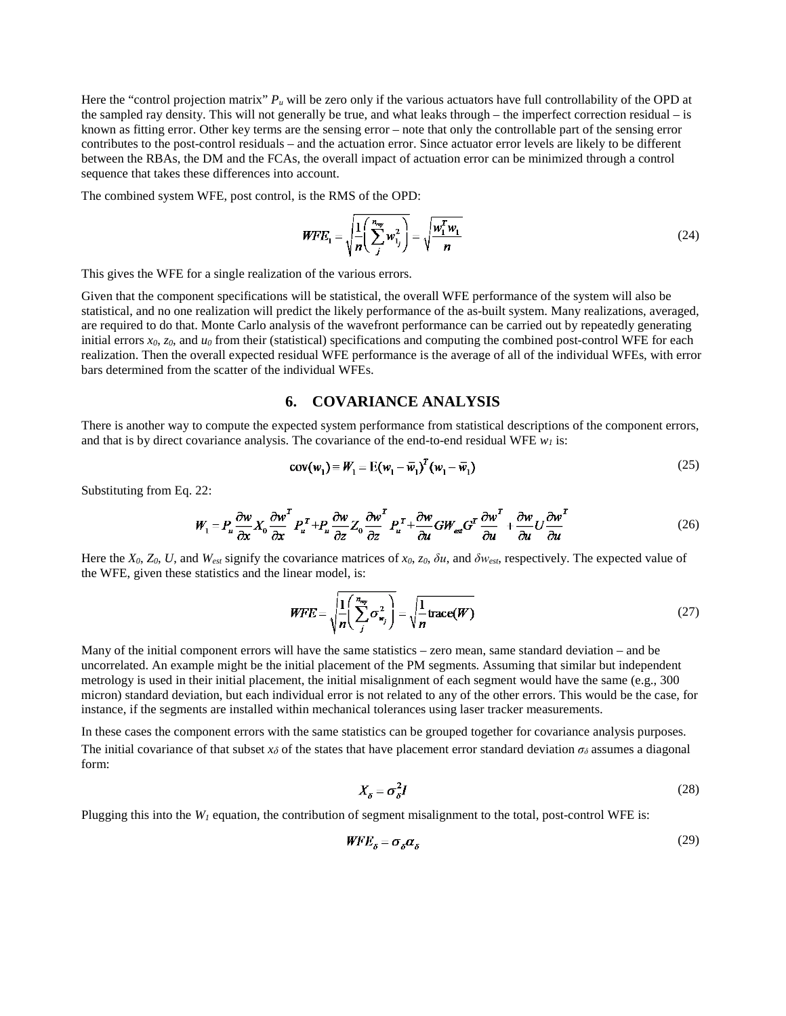Here the "control projection matrix" *Pu* will be zero only if the various actuators have full controllability of the OPD at the sampled ray density. This will not generally be true, and what leaks through – the imperfect correction residual – is known as fitting error. Other key terms are the sensing error – note that only the controllable part of the sensing error contributes to the post-control residuals – and the actuation error. Since actuator error levels are likely to be different between the RBAs, the DM and the FCAs, the overall impact of actuation error can be minimized through a control sequence that takes these differences into account.

The combined system WFE, post control, is the RMS of the OPD:

$$
WFE_1 = \sqrt{\frac{1}{n} \left( \sum_{j}^{n_{\text{avg}}} w_{1j}^2 \right)} = \sqrt{\frac{w_1^T w_1}{n}}
$$
(24)

This gives the WFE for a single realization of the various errors.

Given that the component specifications will be statistical, the overall WFE performance of the system will also be statistical, and no one realization will predict the likely performance of the as-built system. Many realizations, averaged, are required to do that. Monte Carlo analysis of the wavefront performance can be carried out by repeatedly generating initial errors  $x_0$ ,  $z_0$ , and  $u_0$  from their (statistical) specifications and computing the combined post-control WFE for each realization. Then the overall expected residual WFE performance is the average of all of the individual WFEs, with error bars determined from the scatter of the individual WFEs.

# **6. COVARIANCE ANALYSIS**

There is another way to compute the expected system performance from statistical descriptions of the component errors, and that is by direct covariance analysis. The covariance of the end-to-end residual WFE  $w_l$  is:

$$
cov(w_1) = W_1 = E(w_1 - \overline{w}_1)^T (w_1 - \overline{w}_1)
$$
\n(25)

Substituting from Eq. 22:

$$
W_1 = P_u \frac{\partial w}{\partial x} X_0 \frac{\partial w}{\partial x}^T P_u^T + P_u \frac{\partial w}{\partial z} Z_0 \frac{\partial w}{\partial z}^T P_u^T + \frac{\partial w}{\partial u} GW_{\text{est}} G^T \frac{\partial w}{\partial u}^T + \frac{\partial w}{\partial u} U \frac{\partial w}{\partial u}^T
$$
(26)

Here the  $X_0$ ,  $Z_0$ ,  $U$ , and  $W_{est}$  signify the covariance matrices of  $x_0$ ,  $z_0$ ,  $\delta u$ , and  $\delta w_{est}$ , respectively. The expected value of the WFE, given these statistics and the linear model, is:

$$
WFE = \sqrt{\frac{1}{n} \left( \sum_{j}^{n_{\text{avg}}} \sigma_{w_{j}}^{2} \right)} = \sqrt{\frac{1}{n} \text{trace}(W)}
$$
(27)

Many of the initial component errors will have the same statistics – zero mean, same standard deviation – and be uncorrelated. An example might be the initial placement of the PM segments. Assuming that similar but independent metrology is used in their initial placement, the initial misalignment of each segment would have the same (e.g., 300 micron) standard deviation, but each individual error is not related to any of the other errors. This would be the case, for instance, if the segments are installed within mechanical tolerances using laser tracker measurements.

In these cases the component errors with the same statistics can be grouped together for covariance analysis purposes. The initial covariance of that subset  $x_\delta$  of the states that have placement error standard deviation  $\sigma_\delta$  assumes a diagonal form:

$$
X_{\delta} = \sigma_{\delta}^2 I \tag{28}
$$

Plugging this into the  $W_l$  equation, the contribution of segment misalignment to the total, post-control WFE is:

$$
WFE_{\delta} = \sigma_{\delta} \alpha_{\delta} \tag{29}
$$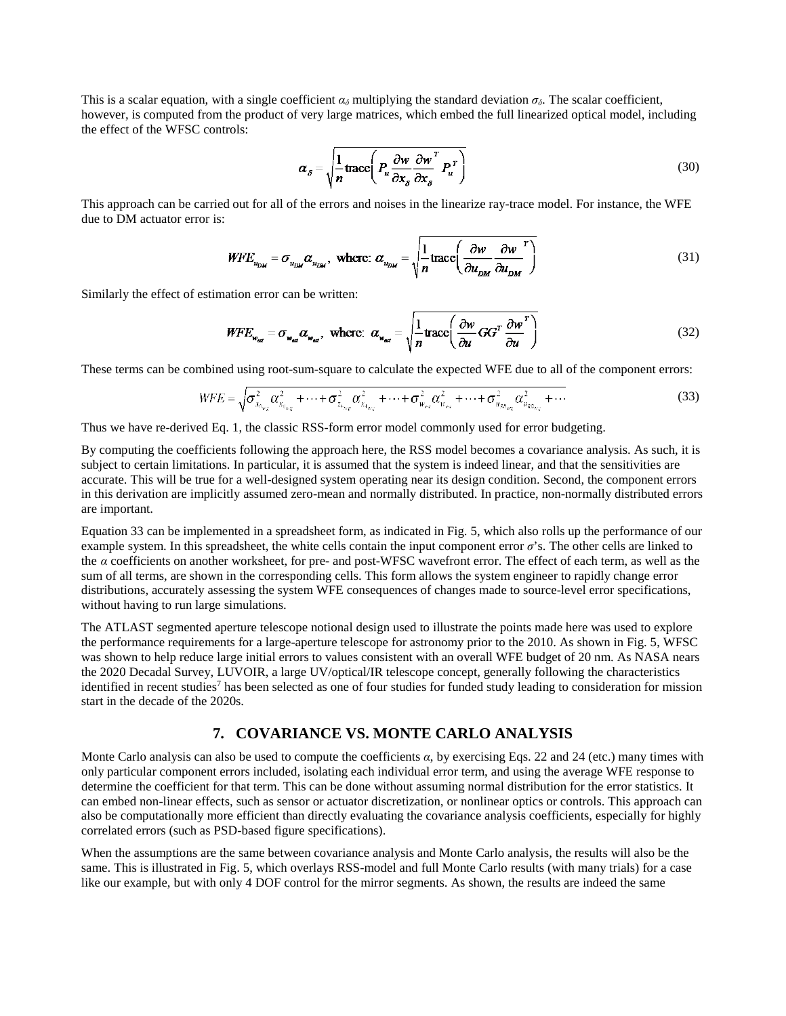This is a scalar equation, with a single coefficient  $\alpha_{\delta}$  multiplying the standard deviation  $\sigma_{\delta}$ . The scalar coefficient, however, is computed from the product of very large matrices, which embed the full linearized optical model, including the effect of the WFSC controls:

$$
\alpha_{\delta} = \sqrt{\frac{1}{n} \text{trace} \left( P_u \frac{\partial w}{\partial x_{\delta}} \frac{\partial w}{\partial x_{\delta}}^T P_u^T \right)}
$$
(30)

This approach can be carried out for all of the errors and noises in the linearize ray-trace model. For instance, the WFE due to DM actuator error is:

$$
WFE_{u_{DM}} = \sigma_{u_{DM}} \alpha_{u_{DM}}, \text{ where: } \alpha_{u_{DM}} = \sqrt{\frac{1}{n} \text{trace} \left( \frac{\partial w}{\partial u_{DM}} \frac{\partial w}{\partial u_{DM}} \right)}
$$
(31)

Similarly the effect of estimation error can be written:

$$
WFE_{w_{\text{ref}}} = \sigma_{w_{\text{ref}}} \alpha_{w_{\text{ref}}}, \text{ where: } \alpha_{w_{\text{ref}}} = \sqrt{\frac{1}{n} \text{trace} \left( \frac{\partial w}{\partial u} GG^T \frac{\partial w}{\partial u}^T \right)}
$$
(32)

These terms can be combined using root-sum-square to calculate the expected WFE due to all of the component errors:

$$
WFE = \sqrt{\sigma_{x_{\theta_{\nu_{\alpha}}}}^2 \alpha_{x_{\theta_{\nu_{\alpha}}}}}^2 + \dots + \sigma_{z_{4_{\omega_{\alpha}}}}^2 \alpha_{x_{4_{\omega_{\alpha}}}}^2 + \dots + \sigma_{w_{\nu_{\alpha}}}^2 \alpha_{w_{\nu_{\alpha}}}^2 + \dots + \sigma_{w_{R_{R_{\omega_{\alpha}}}}}^2 \alpha_{w_{R_{\omega_{\alpha}}}}^2 + \dots}
$$
(33)

Thus we have re-derived Eq. 1, the classic RSS-form error model commonly used for error budgeting.

By computing the coefficients following the approach here, the RSS model becomes a covariance analysis. As such, it is subject to certain limitations. In particular, it is assumed that the system is indeed linear, and that the sensitivities are accurate. This will be true for a well-designed system operating near its design condition. Second, the component errors in this derivation are implicitly assumed zero-mean and normally distributed. In practice, non-normally distributed errors are important.

Equation 33 can be implemented in a spreadsheet form, as indicated in Fig. 5, which also rolls up the performance of our example system. In this spreadsheet, the white cells contain the input component error  $\sigma$ 's. The other cells are linked to the *α* coefficients on another worksheet, for pre- and post-WFSC wavefront error. The effect of each term, as well as the sum of all terms, are shown in the corresponding cells. This form allows the system engineer to rapidly change error distributions, accurately assessing the system WFE consequences of changes made to source-level error specifications, without having to run large simulations.

The ATLAST segmented aperture telescope notional design used to illustrate the points made here was used to explore the performance requirements for a large-aperture telescope for astronomy prior to the 2010. As shown in Fig. 5, WFSC was shown to help reduce large initial errors to values consistent with an overall WFE budget of 20 nm. As NASA nears the 2020 Decadal Survey, LUVOIR, a large UV/optical/IR telescope concept, generally following the characteristics identified in recent studies<sup>7</sup> has been selected as one of four studies for funded study leading to consideration for mission start in the decade of the 2020s.

# **7. COVARIANCE VS. MONTE CARLO ANALYSIS**

Monte Carlo analysis can also be used to compute the coefficients *α*, by exercising Eqs. 22 and 24 (etc.) many times with only particular component errors included, isolating each individual error term, and using the average WFE response to determine the coefficient for that term. This can be done without assuming normal distribution for the error statistics. It can embed non-linear effects, such as sensor or actuator discretization, or nonlinear optics or controls. This approach can also be computationally more efficient than directly evaluating the covariance analysis coefficients, especially for highly correlated errors (such as PSD-based figure specifications).

When the assumptions are the same between covariance analysis and Monte Carlo analysis, the results will also be the same. This is illustrated in Fig. 5, which overlays RSS-model and full Monte Carlo results (with many trials) for a case like our example, but with only 4 DOF control for the mirror segments. As shown, the results are indeed the same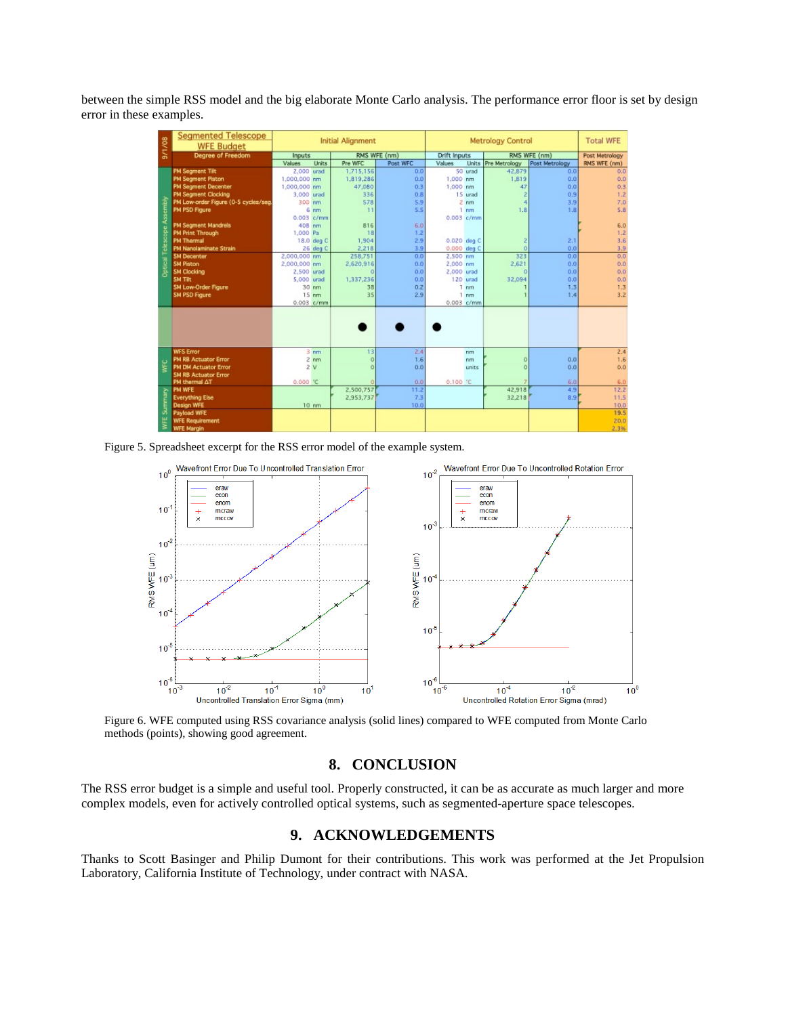between the simple RSS model and the big elaborate Monte Carlo analysis. The performance error floor is set by design error in these examples.

| 9/1/08             | <b>Segmented Telescope</b><br><b>WFE Budget</b> | <b>Initial Alignment</b> |                   |                |             | <b>Metrology Control</b> |                 |                      |                | <b>Total WFE</b> |
|--------------------|-------------------------------------------------|--------------------------|-------------------|----------------|-------------|--------------------------|-----------------|----------------------|----------------|------------------|
|                    | Degree of Freedom                               | <b>Inputs</b>            |                   | RMS WFE (nm)   |             | <b>Drift Inputs</b>      |                 | RMS WFE (nm)         |                | Post Metrology   |
|                    |                                                 | Values                   | <b>Units</b>      | Pre WFC        | Post WFC    | Values                   | <b>Units</b>    | <b>Pre Metrology</b> | Post Metrology | RMS WFE (nm)     |
| Telescope Assembly | <b>PM Segment Tilt</b>                          | 2.000 urad               |                   | 1,715,156      | 0.0         |                          | 50 urad         | 42,879               | 0.0            | 0.0              |
|                    | <b>PM Segment Piston</b>                        | 1,000,000 nm             |                   | 1,819,286      | 0.0         | 1,000 nm                 |                 | 1,819                | 0.0            | 0.0              |
|                    | <b>PM Segment Decenter</b>                      | 1,000,000 nm             |                   | 47,080         | 0.3         | 1,000 nm                 |                 | 47                   | 0.0            | 0.3              |
|                    | <b>PM Segment Clocking</b>                      | 3,000 urad               |                   | 336            | 0.8         |                          | 15 urad         |                      | 0.9            | 1.2              |
|                    | PM Low-order Figure (0-5 cycles/seg             | 300 nm                   |                   | 578            | 5.9         |                          | $2$ nm          | 4                    | 3.9            | 7.0              |
|                    | PM PSD Figure                                   |                          | 6 <sub>mm</sub>   | 11             | 5.5         |                          | $1$ nm          | 1,8                  | 1.8            | 5.8              |
|                    |                                                 | $0.003$ $c/mm$           |                   |                |             |                          | 0.003 c/mm      |                      |                |                  |
|                    | <b>PM Segment Mandrels</b>                      | 408 nm                   |                   | 816            | 6.0         |                          |                 |                      |                | 6.0              |
|                    | <b>PM Print Through</b>                         | 1,000 Pa                 |                   | 18             | 1.2         |                          |                 |                      |                | 1.2              |
|                    | <b>PM Thermal</b>                               |                          | 18.0 deg C        | 1,904          | 2.9         |                          | 0.020 deg C     | z                    | 2.1            | 3.6              |
|                    | <b>PM Nanolaminate Strain</b>                   |                          | 26 deg C          | 2.218          | 3.9         |                          | 0.000 deg C     | ö                    | 0.0            | 3.9              |
|                    | <b>SM Decenter</b>                              | 2,000,000 nm             |                   | 258,751        | 0.0         | 2,500 nm                 |                 | 323                  | 0.0            | 0.0              |
| Optical            | <b>SM Piston</b>                                | 2,000,000 nm             |                   | 2.620.916      | 0.0         | 2,000 nm                 |                 | 2.621                | 0.0            | 0.0              |
|                    | <b>SM Clocking</b>                              | 2,500 urad               |                   | $\Omega$       | 0.0         | 2,000 urad               |                 | $\Omega$             | 0.0            | 0.0              |
|                    | SM Tilt                                         | 5,000 urad               |                   | 1,337,236      | 0.0         |                          | 120 urad        | 32,094               | 0.0            | 0.0              |
|                    | SM Low-Order Figure                             |                          | 30 nm             | 38             | 0.2         |                          | $1$ nm          |                      | 1.3            | 1.3              |
|                    | SM PSD Figure                                   |                          | $15 \text{ nm}$   | 35             | 2.9         |                          | 1 <sub>nm</sub> |                      | 1.4            | 3.2              |
|                    |                                                 | $0.003$ $c/mm$           |                   |                |             |                          | $0.003$ $c/mm$  |                      |                |                  |
|                    |                                                 |                          |                   |                |             |                          |                 |                      |                |                  |
| ¥                  | <b>WFS Error</b>                                |                          | $3 \text{ nm}$    | 13             | 2.4         |                          | nm.             |                      |                | 2.4              |
|                    | <b>PM RB Actuator Error</b>                     |                          | $2$ nm            | $\overline{0}$ | 1.6         |                          | nm              | $\sigma$             | 0.0            | 1.6              |
|                    | <b>PM DM Actuator Error</b>                     |                          | 2V                | $\Omega$       | 0.0         |                          | units           | $\Omega$             | 0.0            | 0.0              |
|                    | <b>SM RB Actuator Error</b>                     |                          |                   | $\Omega$       |             |                          |                 |                      |                |                  |
|                    | PM thermal AT<br><b>PM WFE</b>                  | 0.000C                   |                   | 2.500,757      | 0.0         | 0.100 C                  |                 | 42,918               | 6.0            | 6.0              |
|                    |                                                 |                          |                   |                | 11.2<br>7.3 |                          |                 |                      | 4.9            | 12.2             |
| Summary            | <b>Everything Else</b><br><b>Design WFE</b>     |                          | $10 \, \text{nm}$ | 2.953.737      |             |                          |                 | 32.218               | 8.9            | 11.5             |
|                    | Payload WFE                                     |                          |                   |                | 10.0        |                          |                 |                      |                | 10.0<br>19.5     |
|                    |                                                 |                          |                   |                |             |                          |                 |                      |                |                  |
| WFE                | <b>WFE Requirement</b>                          |                          |                   |                |             |                          |                 |                      |                | 20.0             |
|                    | <b>WFE Margin</b>                               |                          |                   |                |             |                          |                 |                      |                | 2.3%             |

Figure 5. Spreadsheet excerpt for the RSS error model of the example system.



Figure 6. WFE computed using RSS covariance analysis (solid lines) compared to WFE computed from Monte Carlo methods (points), showing good agreement.

# **8. CONCLUSION**

The RSS error budget is a simple and useful tool. Properly constructed, it can be as accurate as much larger and more complex models, even for actively controlled optical systems, such as segmented-aperture space telescopes.

# **9. ACKNOWLEDGEMENTS**

Thanks to Scott Basinger and Philip Dumont for their contributions. This work was performed at the Jet Propulsion Laboratory, California Institute of Technology, under contract with NASA.